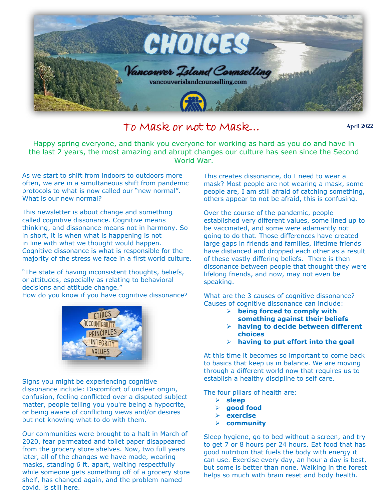

## To Mask or not to Mask…

**April 2022**

Happy spring everyone, and thank you everyone for working as hard as you do and have in<br>as last 2 years, the most amazing and abrunt changes our culture has seen since the Second the last 2 years, the most amazing and abrupt changes our culture has seen since the Second World War.

As we start to shift from indoors to outdoors more often, we are in a simultaneous shift from pandemic protocols to what is now called our "new normal". What is our new normal?

This newsletter is about change and something called cognitive dissonance. Cognitive means thinking, and dissonance means not in harmony. So in short, it is when what is happening is not in line with what we thought would happen. Cognitive dissonance is what is responsible for the majority of the stress we face in a first world culture.

"The state of having inconsistent thoughts, beliefs, or attitudes, especially as relating to behavioral decisions and attitude change." How do you know if you have cognitive dissonance?



Signs you might be experiencing cognitive dissonance include: Discomfort of unclear origin, confusion, feeling conflicted over a disputed subject matter, people telling you you're being a hypocrite, or being aware of conflicting views and/or desires but not knowing what to do with them.

Our communities were brought to a halt in March of 2020, fear permeated and toilet paper disappeared from the grocery store shelves. Now, two full years later, all of the changes we have made, wearing masks, standing 6 ft. apart, waiting respectfully while someone gets something off of a grocery store shelf, has changed again, and the problem named covid, is still here.

This creates dissonance, do I need to wear a mask? Most people are not wearing a mask, some people are, I am still afraid of catching something, others appear to not be afraid, this is confusing.

Over the course of the pandemic, people established very different values, some lined up to be vaccinated, and some were adamantly not going to do that. Those differences have created large gaps in friends and families, lifetime friends have distanced and dropped each other as a result of these vastly differing beliefs. There is then dissonance between people that thought they were lifelong friends, and now, may not even be speaking.

What are the 3 causes of cognitive dissonance? Causes of cognitive dissonance can include:

- **being forced to comply with something against their beliefs**
- **having to decide between different choices**
- **having to put effort into the goal**

At this time it becomes so important to come back to basics that keep us in balance. We are moving through a different world now that requires us to establish a healthy discipline to self care.

The four pillars of health are:

- **sleep**
- **good food**
- **exercise**
- **community**

Sleep hygiene, go to bed without a screen, and try to get 7 or 8 hours per 24 hours. Eat food that has good nutrition that fuels the body with energy it can use. Exercise every day, an hour a day is best, but some is better than none. Walking in the forest helps so much with brain reset and body health.